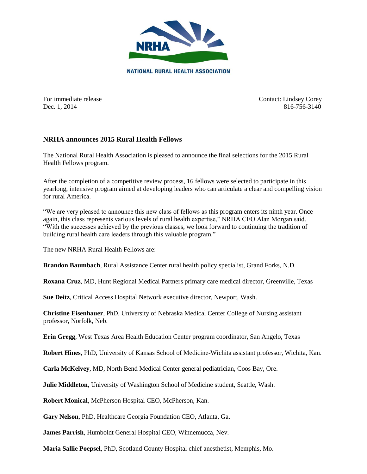

For immediate release Contact: Lindsey Corey Dec. 1, 2014 816-756-3140

## **NRHA announces 2015 Rural Health Fellows**

The National Rural Health Association is pleased to announce the final selections for the 2015 Rural Health Fellows program.

After the completion of a competitive review process, 16 fellows were selected to participate in this yearlong, intensive program aimed at developing leaders who can articulate a clear and compelling vision for rural America.

"We are very pleased to announce this new class of fellows as this program enters its ninth year. Once again, this class represents various levels of rural health expertise," NRHA CEO Alan Morgan said. "With the successes achieved by the previous classes, we look forward to continuing the tradition of building rural health care leaders through this valuable program."

The new NRHA Rural Health Fellows are:

**Brandon Baumbach**, Rural Assistance Center rural health policy specialist, Grand Forks, N.D.

**Roxana Cruz**, MD, Hunt Regional Medical Partners primary care medical director, Greenville, Texas

**Sue Deitz**, Critical Access Hospital Network executive director, Newport, Wash.

**Christine Eisenhauer**, PhD, University of Nebraska Medical Center College of Nursing assistant professor, Norfolk, Neb.

**Erin Gregg**, West Texas Area Health Education Center program coordinator, San Angelo, Texas

**Robert Hines**, PhD, University of Kansas School of Medicine-Wichita assistant professor, Wichita, Kan.

**Carla McKelvey**, MD, North Bend Medical Center general pediatrician, Coos Bay, Ore.

**Julie Middleton**, University of Washington School of Medicine student, Seattle, Wash.

**Robert Monical**, McPherson Hospital CEO, McPherson, Kan.

**Gary Nelson**, PhD, Healthcare Georgia Foundation CEO, Atlanta, Ga.

**James Parrish**, Humboldt General Hospital CEO, Winnemucca, Nev.

**Maria Sallie Poepsel**, PhD, Scotland County Hospital chief anesthetist, Memphis, Mo.